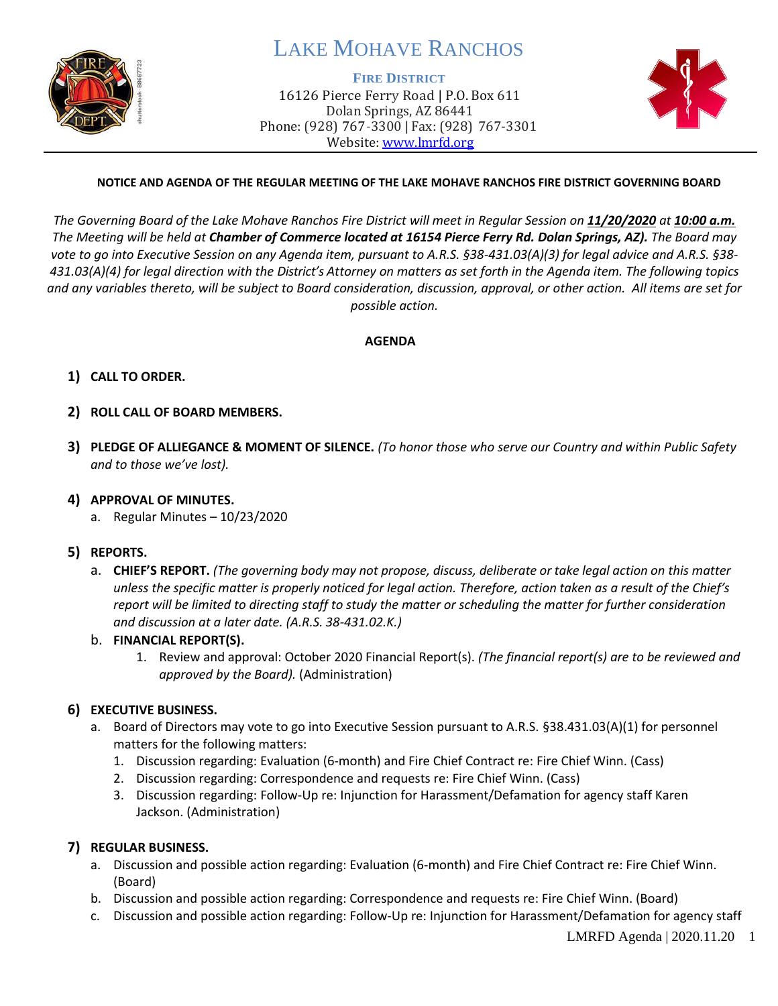

# LAKE MOHAVE RANCHOS

#### **FIRE DISTRICT**

16126 Pierce Ferry Road | P.O. Box 611 Dolan Springs, AZ 86441 Phone: (928) 767-3300 | Fax: (928) 767-3301 Website: [www.lmrfd.org](http://www.lmrfd.org/)



## **NOTICE AND AGENDA OF THE REGULAR MEETING OF THE LAKE MOHAVE RANCHOS FIRE DISTRICT GOVERNING BOARD**

*The Governing Board of the Lake Mohave Ranchos Fire District will meet in Regular Session on 11/20/2020 at 10:00 a.m. The Meeting will be held at Chamber of Commerce located at 16154 Pierce Ferry Rd. Dolan Springs, AZ). The Board may vote to go into Executive Session on any Agenda item, pursuant to A.R.S. §38-431.03(A)(3) for legal advice and A.R.S. §38- 431.03(A)(4) for legal direction with the District's Attorney on matters as set forth in the Agenda item. The following topics and any variables thereto, will be subject to Board consideration, discussion, approval, or other action. All items are set for possible action.*

#### **AGENDA**

# **1) CALL TO ORDER.**

# **2) ROLL CALL OF BOARD MEMBERS.**

**3) PLEDGE OF ALLIEGANCE & MOMENT OF SILENCE.** *(To honor those who serve our Country and within Public Safety and to those we've lost).*

### **4) APPROVAL OF MINUTES.**

- a. Regular Minutes 10/23/2020
- **5) REPORTS.** 
	- a. **CHIEF'S REPORT.** *(The governing body may not propose, discuss, deliberate or take legal action on this matter unless the specific matter is properly noticed for legal action. Therefore, action taken as a result of the Chief's report will be limited to directing staff to study the matter or scheduling the matter for further consideration and discussion at a later date. (A.R.S. 38-431.02.K.)*

### b. **FINANCIAL REPORT(S).**

1. Review and approval: October 2020 Financial Report(s). *(The financial report(s) are to be reviewed and approved by the Board).* (Administration)

### **6) EXECUTIVE BUSINESS.**

- a. Board of Directors may vote to go into Executive Session pursuant to A.R.S. §38.431.03(A)(1) for personnel matters for the following matters:
	- 1. Discussion regarding: Evaluation (6-month) and Fire Chief Contract re: Fire Chief Winn. (Cass)
	- 2. Discussion regarding: Correspondence and requests re: Fire Chief Winn. (Cass)
	- 3. Discussion regarding: Follow-Up re: Injunction for Harassment/Defamation for agency staff Karen Jackson. (Administration)

### **7) REGULAR BUSINESS.**

- a. Discussion and possible action regarding: Evaluation (6-month) and Fire Chief Contract re: Fire Chief Winn. (Board)
- b. Discussion and possible action regarding: Correspondence and requests re: Fire Chief Winn. (Board)
- c. Discussion and possible action regarding: Follow-Up re: Injunction for Harassment/Defamation for agency staff